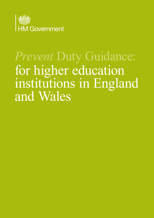

# *Prevent* Duty Guidance: for higher education institutions in England and Wales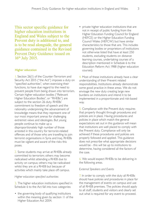This sector specific guidance for higher education institutions in England and Wales subject to the Prevent duty is additional to, and is to be read alongside, the general guidance contained in the Revised Prevent Duty Guidance issued on 16th July 2015.

## Higher education

1. Section 26(1) of the Counter-Terrorism and Security Act 2015 ("the Act") imposes a duty on "specified authorities", when exercising their functions, to have due regard to the need to prevent people from being drawn into terrorism. Certain higher education bodies ("Relevant Higher Education Bodies", or "RHEBs") are subject to the section 26 duty. RHEBs' commitment to freedom of speech and the rationality underpinning the advancement of knowledge means that they represent one of our most important arenas for challenging extremist views and ideologies. But young people continue to make up a disproportionately high number of those arrested in this country for terrorist-related offences and of those who are travelling to join terrorist organisations in Syria and Iraq. RHEBs must be vigilant and aware of the risks this poses.

2. Some students may arrive at RHEBs already committed to terrorism; others may become radicalised whilst attending a RHEB due to activity on campus; others may be radicalised whilst they are at a RHEB but because of activities which mainly take place off campus.

### *Higher education specified authorities*

3. The higher education institutions specified in Schedule 6 to the Act fall into two categories:

• the governing body of qualifying institutions within the meaning given by section 11 of the Higher Education Act 2004.

• private higher education institutions that are not in receipt of public funding from the Higher Education Funding Council for England (HEFCE) or the Higher Education Funding Council Wales (HEFCW) but have similar characteristics to those that are. This includes governing bodies or proprietors of institutions not otherwise listed that have at least 250 students, excluding students on distance learning courses, undertaking courses of a description mentioned in Schedule 6 to the Education Reform Act 1988 (higher education courses).

4. Most of these institutions already have a clear understanding of their Prevent related responsibilities. Institutions already demonstrate some good practice in these areas. We do not envisage the new duty creating large new burdens on institutions and intend it to be implemented in a proportionate and risk-based way.

5. Compliance with the Prevent duty requires that properly thought through procedures and policies are in place. Having procedures and policies in place which match the general expectations set out in this guidance will mean that institutions are well placed to comply with the Prevent duty. Compliance will only be achieved if these procedures and policies are properly followed and applied. This guidance does not prescribe what appropriate decisions would be - this will be up to institutions to determine, having considered all the factors of the case.

6. We would expect RHEBs to be delivering in the following areas.

#### *External Speakers and Events*

7. In order to comply with the duty all RHEBs should have policies and procedures in place for the management of events on campus and use of all RHEB premises. The policies should apply to all staff, students and visitors and clearly set out what is required for any event to proceed.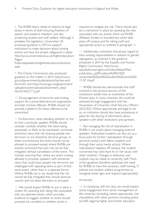8. The RHEB clearly needs to balance its legal duties in terms of both ensuring freedom of speech and academic freedom, and also protecting student and staff welfare. Although it predates this legislation, Universities UK produced guidance in 2013 to support institutions to make decisions about hosting events and have the proper safeguards in place: http://www.universitiesuk.ac.uk/highereducation/ Pages/

Externalspeakersinhighereducationinstitutions. aspx

9. The Charity Commission also produced guidance on this matter in 2013: https://www. gov.uk/government/publications/charities-andterrorism and https://www.gov.uk/government/ uploads/system/uploads/attachment\_data/ file/351342/CT-5.pdf

10. Encouragement of terrorism and inviting support for a proscribed terrorist organisation are both criminal offences. RHEBs should not provide a platform for these offences to be committed.

11. Furthermore, when deciding whether or not to host a particular speaker, RHEBs should consider carefully whether the views being expressed, or likely to be expressed, constitute extremist views that risk drawing people into terrorism or are shared by terrorist groups. In these circumstances the event should not be allowed to proceed except where RHEBs are entirely convinced that such risk can be fully mitigated without cancellation of the event. This includes ensuring that, where any event is being allowed to proceed, speakers with extremist views that could draw people into terrorism are challenged with opposing views as part of that same event, rather than in a separate forum. Where RHEBs are in any doubt that the risk cannot be fully mitigated they should exercise caution and not allow the event to proceed.

12. We would expect RHEBs to put in place a system for assessing and rating risks associated with any planned events, which provides evidence to suggest whether an event should proceed, be cancelled or whether action is

required to mitigate any risk. There should also be a mechanism in place for assessing the risks associated with any events which are RHEBaffiliated, funded or branded but which take place off-campus and for taking swift and appropriate action as outlined in paragraph 11.

13. Additionally, institutions should pay regard to their existing responsibilities in relation to gender segregation, as outlined in the guidance produced in 2014 by the Equality and Human Rights Commission: http://www. equalityhumanrights.com/sites/default/files/ publication\_pdf/Guidance%20for%20 universities%20and%20students%20unions%20 17-07-14.pdf

14. RHEBs should also demonstrate that staff involved in the physical security of the institution's estate have an awareness of the Prevent duty. In many instances, this could be achieved through engagement with the Association of University Chief Security Officers (AUCSO). Where appropriate and legal to do so, an institution should also have procedures in place for the sharing of information about speakers with other institutions and partners.

15. But managing the risk of radicalisation in RHEBs is not simply about managing external speakers. Radicalised students can also act as a focal point for further radicalisation through personal contact with fellow students and through their social media activity. Where radicalisation happens off campus, the student concerned may well share his or her issues with other students. Changes in behaviour and outlook may be visible to university staff. Much of this guidance therefore addresses the need for RHEBs to have the necessary staff training, IT policies and student welfare programmes to recognise these signs and respond appropriately.

# *Partnership*

16. In complying with this duty we would expect active engagement from senior management of the university (including, where appropriate, vice chancellors) with other partners including police and BIS regional higher and further education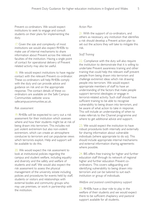Prevent co-ordinators. We would expect institutions to seek to engage and consult students on their plans for implementing the duty.

17. Given the size and complexity of most institutions we would also expect RHEBs to make use of internal mechanisms to share information about Prevent across the relevant faculties of the institution. Having a single point of contact for operational delivery of Prevent related activity may also be useful.

18. We would expect institutions to have regular contact with the relevant Prevent co-ordinator. These co-ordinators will help RHEBs comply with the duty and can provide advice and guidance on risk and on the appropriate response. The contact details of these coordinators are available on the Safe Campus Communities website: www. safecampuscommunities.ac.uk.

### *Risk assessment*

19. RHEBs will be expected to carry out a risk assessment for their institution which assesses where and how their students might be at risk of being drawn into terrorism. This includes not just violent extremism but also non-violent extremism, which can create an atmosphere conducive to terrorism and can popularise views which terrorists exploit. Help and support will be available to do this.

20. We would expect the risk assessment to look at institutional policies regarding the campus and student welfare, including equality and diversity and the safety and welfare of students and staff. We would also expect the risk assessment to assess the physical management of the university estate including policies and procedures for events held by staff, students or visitors and relationships with external bodies and community groups who may use premises, or work in partnership with the institution.

## *Action Plan*

21. With the support of co-ordinators, and others as necessary, any institution that identifies a risk should develop a Prevent action plan to set out the actions they will take to mitigate this risk.

## *Staff Training*

22. Compliance with the duty will also require the institution to demonstrate that it is willing to undertake Prevent awareness training and other training that could help the relevant staff prevent people from being drawn into terrorism and challenge extremist ideas which risk drawing people into terrorism. We would expect appropriate members of staff to have an understanding of the factors that make people support terrorist ideologies or engage in terrorist-related activity. Such staff should have sufficient training to be able to recognise vulnerability to being drawn into terrorism, and be aware of what action to take in response. This will include an understanding of when to make referrals to the Channel programme and where to get additional advice and support.

23. We would expect the institution to have robust procedures both internally and externally for sharing information about vulnerable individuals (where appropriate to do so). This should include appropriate internal mechanisms and external information sharing agreements where possible.

24. BIS offers free training for higher and further education staff through its network of regional higher and further education Prevent coordinators. This covers safeguarding and identifying vulnerability to being drawn into terrorism and can be tailored to suit each institution or group of individuals.

### *Welfare and pastoral care/chaplaincy support*

25. RHEBs have a clear role to play in the welfare of their students and we would expect there to be sufficient chaplaincy and pastoral support available for all students.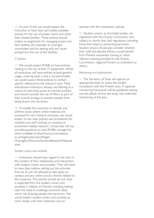26. As part of this, we would expect the institution to have clear and widely available policies for the use of prayer rooms and other faith-related facilities. These policies should outline arrangements for managing prayer and faith facilities (for example an oversight committee) and for dealing with any issues arising from the use of the facilities.

# *IT policies*

27. We would expect RHEBs to have policies relating to the use of their IT equipment. Whilst all institutions will have policies around general usage, covering what is and is not permissible, we would expect these policies to contain specific reference to the statutory duty. Many educational institutions already use filtering as a means of restricting access to harmful content, and should consider the use of filters as part of their overall strategy to prevent people from being drawn into terrorism.

28. To enable the university to identify and address issues where online materials are accessed for non-research purposes, we would expect to see clear policies and procedures for students and staff working on sensitive or extremism-related research. Universities UK has provided guidance to help RHEBs manage this, which available at http://www.universitiesuk. ac.uk/highereducation/Pages/ OversightOfSecuritySensitiveResearchMaterial. aspx

# *Student unions and societies*

29. Institutions should have regard to the duty in the context of their relationship and interactions with student unions and societies. They will need to have clear policies setting out the activities that are or are not allowed to take place on campus and any online activity directly related to the university. The policies should set out what is expected from the student unions and societies in relation to Prevent including making clear the need to challenge extremist ideas which risk drawing people into terrorism. We would expect student unions and societies to work closely with their institution and cooperate with the institutions' policies.

30. Student unions, as charitable bodies, are registered with the Charity Commission and subject to charity laws and regulations, including those that relate to preventing terrorism. Student Unions should also consider whether their staff and elected officers would benefit from Prevent awareness training or other relevant training provided by the Charity Commission, regional Prevent co-ordinators or others.

# *Monitoring and enforcement*

31. The Secretary of State will appoint an appropriate body to assess the bodies' compliance with the Prevent duty. A separate monitoring framework will be published setting out the details of how this body will undertake monitoring of the duty.